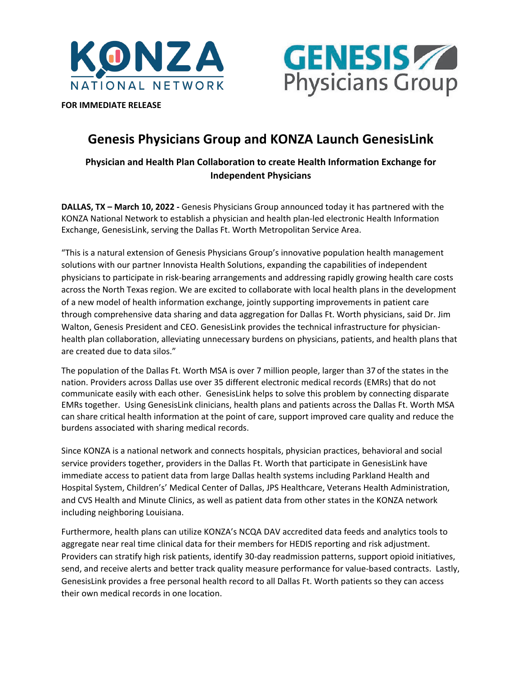



**FOR IMMEDIATE RELEASE** 

# **Genesis Physicians Group and KONZA Launch GenesisLink**

## **Physician and Health Plan Collaboration to create Health Information Exchange for Independent Physicians**

**DALLAS, TX – March 10, 2022 -** Genesis Physicians Group announced today it has partnered with the KONZA National Network to establish a physician and health plan-led electronic Health Information Exchange, GenesisLink, serving the Dallas Ft. Worth Metropolitan Service Area.

"This is a natural extension of Genesis Physicians Group's innovative population health management solutions with our partner Innovista Health Solutions, expanding the capabilities of independent physicians to participate in risk-bearing arrangements and addressing rapidly growing health care costs across the North Texas region. We are excited to collaborate with local health plans in the development of a new model of health information exchange, jointly supporting improvements in patient care through comprehensive data sharing and data aggregation for Dallas Ft. Worth physicians, said Dr. Jim Walton, Genesis President and CEO. GenesisLink provides the technical infrastructure for physicianhealth plan collaboration, alleviating unnecessary burdens on physicians, patients, and health plans that are created due to data silos."

The population of the Dallas Ft. Worth MSA is over 7 million people, larger than 37 of the states in the nation. Providers across Dallas use over 35 different electronic medical records (EMRs) that do not communicate easily with each other. GenesisLink helps to solve this problem by connecting disparate EMRs together. Using GenesisLink clinicians, health plans and patients across the Dallas Ft. Worth MSA can share critical health information at the point of care, support improved care quality and reduce the burdens associated with sharing medical records.

Since KONZA is a national network and connects hospitals, physician practices, behavioral and social service providers together, providers in the Dallas Ft. Worth that participate in GenesisLink have immediate access to patient data from large Dallas health systems including Parkland Health and Hospital System, Children's' Medical Center of Dallas, JPS Healthcare, Veterans Health Administration, and CVS Health and Minute Clinics, as well as patient data from other states in the KONZA network including neighboring Louisiana.

Furthermore, health plans can utilize KONZA's NCQA DAV accredited data feeds and analytics tools to aggregate near real time clinical data for their members for HEDIS reporting and risk adjustment. Providers can stratify high risk patients, identify 30-day readmission patterns, support opioid initiatives, send, and receive alerts and better track quality measure performance for value-based contracts. Lastly, GenesisLink provides a free personal health record to all Dallas Ft. Worth patients so they can access their own medical records in one location.